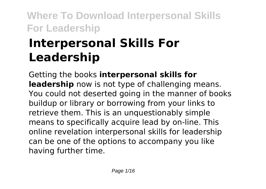# **Interpersonal Skills For Leadership**

Getting the books **interpersonal skills for leadership** now is not type of challenging means. You could not deserted going in the manner of books buildup or library or borrowing from your links to retrieve them. This is an unquestionably simple means to specifically acquire lead by on-line. This online revelation interpersonal skills for leadership can be one of the options to accompany you like having further time.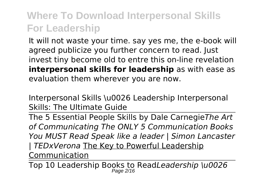It will not waste your time. say yes me, the e-book will agreed publicize you further concern to read. Just invest tiny become old to entre this on-line revelation **interpersonal skills for leadership** as with ease as evaluation them wherever you are now.

Interpersonal Skills \u0026 Leadership Interpersonal Skills: The Ultimate Guide

The 5 Essential People Skills by Dale Carnegie*The Art of Communicating The ONLY 5 Communication Books You MUST Read Speak like a leader | Simon Lancaster | TEDxVerona* The Key to Powerful Leadership Communication

Top 10 Leadership Books to Read*Leadership \u0026* Page 2/16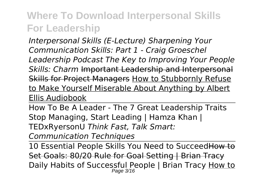*Interpersonal Skills (E-Lecture) Sharpening Your Communication Skills: Part 1 - Craig Groeschel Leadership Podcast The Key to Improving Your People Skills: Charm* Important Leadership and Interpersonal Skills for Project Managers How to Stubbornly Refuse to Make Yourself Miserable About Anything by Albert Ellis Audiobook

How To Be A Leader - The 7 Great Leadership Traits Stop Managing, Start Leading | Hamza Khan | TEDxRyersonU *Think Fast, Talk Smart:*

*Communication Techniques*

10 Essential People Skills You Need to Succeed How to Set Goals: 80/20 Rule for Goal Setting | Brian Tracy Daily Habits of Successful People | Brian Tracy <u>How to</u>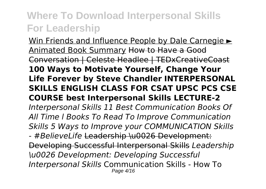Win Friends and Influence People by Dale Carnegie ► Animated Book Summary How to Have a Good Conversation | Celeste Headlee | TEDxCreativeCoast **100 Ways to Motivate Yourself, Change Your Life Forever by Steve Chandler INTERPERSONAL SKILLS ENGLISH CLASS FOR CSAT UPSC PCS CSE COURSE best Interpersonal Skills LECTURE-2** *Interpersonal Skills 11 Best Communication Books Of All Time l Books To Read To Improve Communication Skills 5 Ways to Improve your COMMUNICATION Skills - #BelieveLife* Leadership \u0026 Development: Developing Successful Interpersonal Skills *Leadership \u0026 Development: Developing Successful Interpersonal Skills* Communication Skills - How To Page 4/16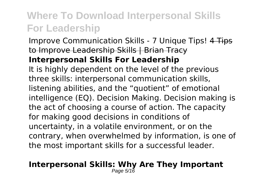Improve Communication Skills - 7 Unique Tips! 4 Tips to Improve Leadership Skills | Brian Tracy **Interpersonal Skills For Leadership**

It is highly dependent on the level of the previous three skills: interpersonal communication skills, listening abilities, and the "quotient" of emotional intelligence (EQ). Decision Making. Decision making is the act of choosing a course of action. The capacity for making good decisions in conditions of uncertainty, in a volatile environment, or on the contrary, when overwhelmed by information, is one of the most important skills for a successful leader.

#### **Interpersonal Skills: Why Are They Important** Page 5/16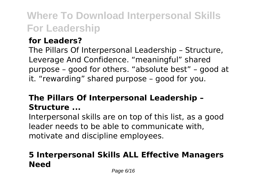#### **for Leaders?**

The Pillars Of Interpersonal Leadership – Structure, Leverage And Confidence. "meaningful" shared purpose – good for others. "absolute best" – good at it. "rewarding" shared purpose – good for you.

### **The Pillars Of Interpersonal Leadership – Structure ...**

Interpersonal skills are on top of this list, as a good leader needs to be able to communicate with, motivate and discipline employees.

### **5 Interpersonal Skills ALL Effective Managers Need**

Page 6/16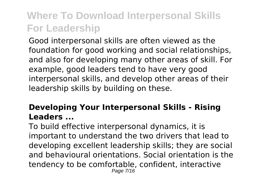Good interpersonal skills are often viewed as the foundation for good working and social relationships, and also for developing many other areas of skill. For example, good leaders tend to have very good interpersonal skills, and develop other areas of their leadership skills by building on these.

#### **Developing Your Interpersonal Skills - Rising Leaders ...**

To build effective interpersonal dynamics, it is important to understand the two drivers that lead to developing excellent leadership skills; they are social and behavioural orientations. Social orientation is the tendency to be comfortable, confident, interactive Page 7/16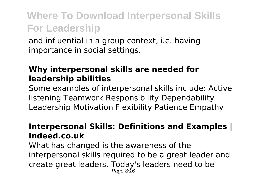and influential in a group context, i.e. having importance in social settings.

#### **Why interpersonal skills are needed for leadership abilities**

Some examples of interpersonal skills include: Active listening Teamwork Responsibility Dependability Leadership Motivation Flexibility Patience Empathy

#### **Interpersonal Skills: Definitions and Examples | Indeed.co.uk**

What has changed is the awareness of the interpersonal skills required to be a great leader and create great leaders. Today's leaders need to be Page 8/16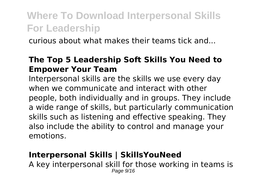curious about what makes their teams tick and...

#### **The Top 5 Leadership Soft Skills You Need to Empower Your Team**

Interpersonal skills are the skills we use every day when we communicate and interact with other people, both individually and in groups. They include a wide range of skills, but particularly communication skills such as listening and effective speaking. They also include the ability to control and manage your emotions.

#### **Interpersonal Skills | SkillsYouNeed**

A key interpersonal skill for those working in teams is Page  $9/16$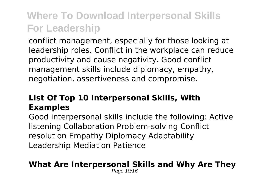conflict management, especially for those looking at leadership roles. Conflict in the workplace can reduce productivity and cause negativity. Good conflict management skills include diplomacy, empathy, negotiation, assertiveness and compromise.

### **List Of Top 10 Interpersonal Skills, With Examples**

Good interpersonal skills include the following: Active listening Collaboration Problem-solving Conflict resolution Empathy Diplomacy Adaptability Leadership Mediation Patience

#### **What Are Interpersonal Skills and Why Are They**

Page 10/16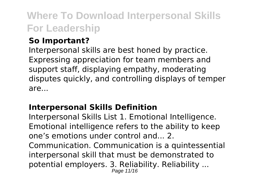#### **So Important?**

Interpersonal skills are best honed by practice. Expressing appreciation for team members and support staff, displaying empathy, moderating disputes quickly, and controlling displays of temper are...

### **Interpersonal Skills Definition**

Interpersonal Skills List 1. Emotional Intelligence. Emotional intelligence refers to the ability to keep one's emotions under control and... 2.

Communication. Communication is a quintessential interpersonal skill that must be demonstrated to potential employers. 3. Reliability. Reliability ...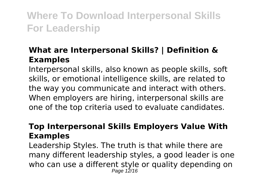#### **What are Interpersonal Skills? | Definition & Examples**

Interpersonal skills, also known as people skills, soft skills, or emotional intelligence skills, are related to the way you communicate and interact with others. When employers are hiring, interpersonal skills are one of the top criteria used to evaluate candidates.

#### **Top Interpersonal Skills Employers Value With Examples**

Leadership Styles. The truth is that while there are many different leadership styles, a good leader is one who can use a different style or quality depending on Page 12/16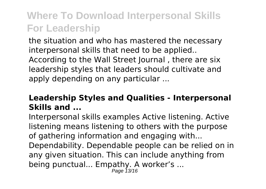the situation and who has mastered the necessary interpersonal skills that need to be applied.. According to the Wall Street Journal , there are six leadership styles that leaders should cultivate and apply depending on any particular ...

### **Leadership Styles and Qualities - Interpersonal Skills and ...**

Interpersonal skills examples Active listening. Active listening means listening to others with the purpose of gathering information and engaging with... Dependability. Dependable people can be relied on in any given situation. This can include anything from being punctual... Empathy. A worker's ... Page 13/16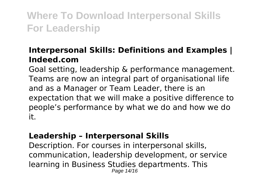#### **Interpersonal Skills: Definitions and Examples | Indeed.com**

Goal setting, leadership & performance management. Teams are now an integral part of organisational life and as a Manager or Team Leader, there is an expectation that we will make a positive difference to people's performance by what we do and how we do it.

#### **Leadership – Interpersonal Skills**

Description. For courses in interpersonal skills, communication, leadership development, or service learning in Business Studies departments. This Page 14/16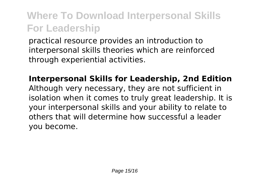practical resource provides an introduction to interpersonal skills theories which are reinforced through experiential activities.

**Interpersonal Skills for Leadership, 2nd Edition** Although very necessary, they are not sufficient in isolation when it comes to truly great leadership. It is your interpersonal skills and your ability to relate to others that will determine how successful a leader you become.